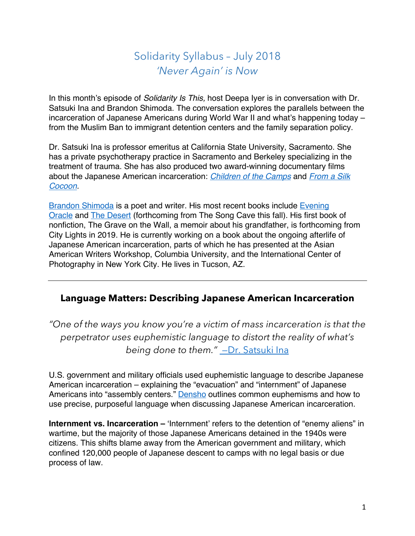# Solidarity Syllabus – July 2018 *'Never Again' is Now*

In this month's episode of *Solidarity Is This,* host Deepa Iyer is in conversation with Dr. Satsuki Ina and Brandon Shimoda. The conversation explores the parallels between the incarceration of Japanese Americans during World War II and what's happening today – from the Muslim Ban to immigrant detention centers and the family separation policy.

Dr. Satsuki Ina is professor emeritus at California State University, Sacramento. She has a private psychotherapy practice in Sacramento and Berkeley specializing in the treatment of trauma. She has also produced two award-winning documentary films about the Japanese American incarceration: *Children of the Camps* and *From a Silk Cocoon.* 

Brandon Shimoda is a poet and writer. His most recent books include Evening Oracle and The Desert (forthcoming from The Song Cave this fall). His first book of nonfiction, The Grave on the Wall, a memoir about his grandfather, is forthcoming from City Lights in 2019. He is currently working on a book about the ongoing afterlife of Japanese American incarceration, parts of which he has presented at the Asian American Writers Workshop, Columbia University, and the International Center of Photography in New York City. He lives in Tucson, AZ.

### **Language Matters: Describing Japanese American Incarceration**

*"One of the ways you know you're a victim of mass incarceration is that the perpetrator uses euphemistic language to distort the reality of what's being done to them."* —Dr. Satsuki Ina

U.S. government and military officials used euphemistic language to describe Japanese American incarceration – explaining the "evacuation" and "internment" of Japanese Americans into "assembly centers." **Densho** outlines common euphemisms and how to use precise, purposeful language when discussing Japanese American incarceration.

**Internment vs. Incarceration –** 'Internment' refers to the detention of "enemy aliens" in wartime, but the majority of those Japanese Americans detained in the 1940s were citizens. This shifts blame away from the American government and military, which confined 120,000 people of Japanese descent to camps with no legal basis or due process of law.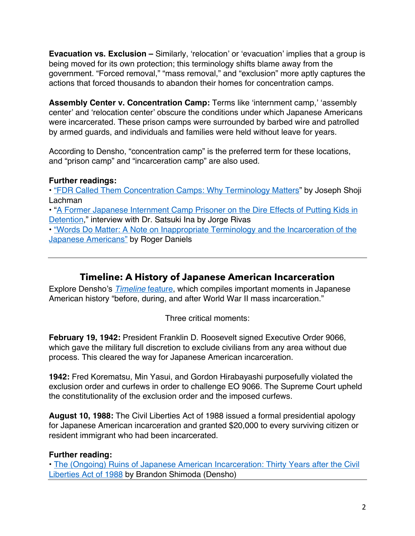**Evacuation vs. Exclusion –** Similarly, 'relocation' or 'evacuation' implies that a group is being moved for its own protection; this terminology shifts blame away from the government. "Forced removal," "mass removal," and "exclusion" more aptly captures the actions that forced thousands to abandon their homes for concentration camps.

**Assembly Center v. Concentration Camp:** Terms like 'internment camp,' 'assembly center' and 'relocation center' obscure the conditions under which Japanese Americans were incarcerated. These prison camps were surrounded by barbed wire and patrolled by armed guards, and individuals and families were held without leave for years.

According to Densho, "concentration camp" is the preferred term for these locations, and "prison camp" and "incarceration camp" are also used.

#### **Further readings:**

• "FDR Called Them Concentration Camps: Why Terminology Matters" by Joseph Shoji Lachman

• "A Former Japanese Internment Camp Prisoner on the Dire Effects of Putting Kids in Detention," interview with Dr. Satsuki Ina by Jorge Rivas

• "Words Do Matter: A Note on Inappropriate Terminology and the Incarceration of the Japanese Americans" by Roger Daniels

# **Timeline: A History of Japanese American Incarceration**

Explore Densho's *Timeline* feature, which compiles important moments in Japanese American history "before, during, and after World War II mass incarceration."

Three critical moments:

**February 19, 1942:** President Franklin D. Roosevelt signed Executive Order 9066, which gave the military full discretion to exclude civilians from any area without due process. This cleared the way for Japanese American incarceration.

**1942:** Fred Korematsu, Min Yasui, and Gordon Hirabayashi purposefully violated the exclusion order and curfews in order to challenge EO 9066. The Supreme Court upheld the constitutionality of the exclusion order and the imposed curfews.

**August 10, 1988:** The Civil Liberties Act of 1988 issued a formal presidential apology for Japanese American incarceration and granted \$20,000 to every surviving citizen or resident immigrant who had been incarcerated.

#### **Further reading:**

• The (Ongoing) Ruins of Japanese American Incarceration: Thirty Years after the Civil Liberties Act of 1988 by Brandon Shimoda (Densho)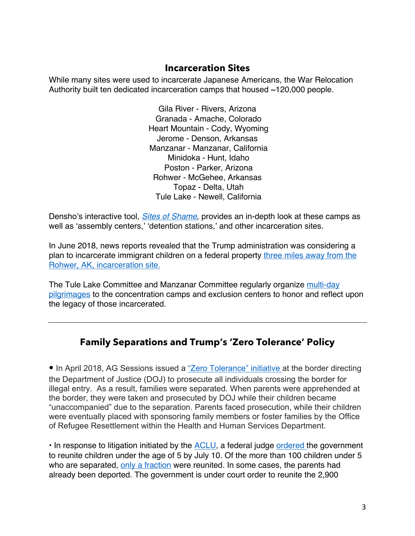#### **Incarceration Sites**

While many sites were used to incarcerate Japanese Americans, the War Relocation Authority built ten dedicated incarceration camps that housed ~120,000 people.

> Gila River - Rivers, Arizona Granada - Amache, Colorado Heart Mountain - Cody, Wyoming Jerome - Denson, Arkansas Manzanar - Manzanar, California Minidoka - Hunt, Idaho Poston - Parker, Arizona Rohwer - McGehee, Arkansas Topaz - Delta, Utah Tule Lake - Newell, California

Densho's interactive tool, *Sites of Shame,* provides an in-depth look at these camps as well as 'assembly centers,' 'detention stations,' and other incarceration sites.

In June 2018, news reports revealed that the Trump administration was considering a plan to incarcerate immigrant children on a federal property three miles away from the Rohwer, AK, incarceration site.

The Tule Lake Committee and Manzanar Committee regularly organize multi-day pilgrimages to the concentration camps and exclusion centers to honor and reflect upon the legacy of those incarcerated.

# **Family Separations and Trump's 'Zero Tolerance' Policy**

• In April 2018, AG Sessions issued a "Zero Tolerance" initiative at the border directing the Department of Justice (DOJ) to prosecute all individuals crossing the border for illegal entry. As a result, families were separated. When parents were apprehended at the border, they were taken and prosecuted by DOJ while their children became "unaccompanied" due to the separation. Parents faced prosecution, while their children were eventually placed with sponsoring family members or foster families by the Office of Refugee Resettlement within the Health and Human Services Department.

• In response to litigation initiated by the **ACLU**, a federal judge ordered the government to reunite children under the age of 5 by July 10. Of the more than 100 children under 5 who are separated, only a fraction were reunited. In some cases, the parents had already been deported. The government is under court order to reunite the 2,900